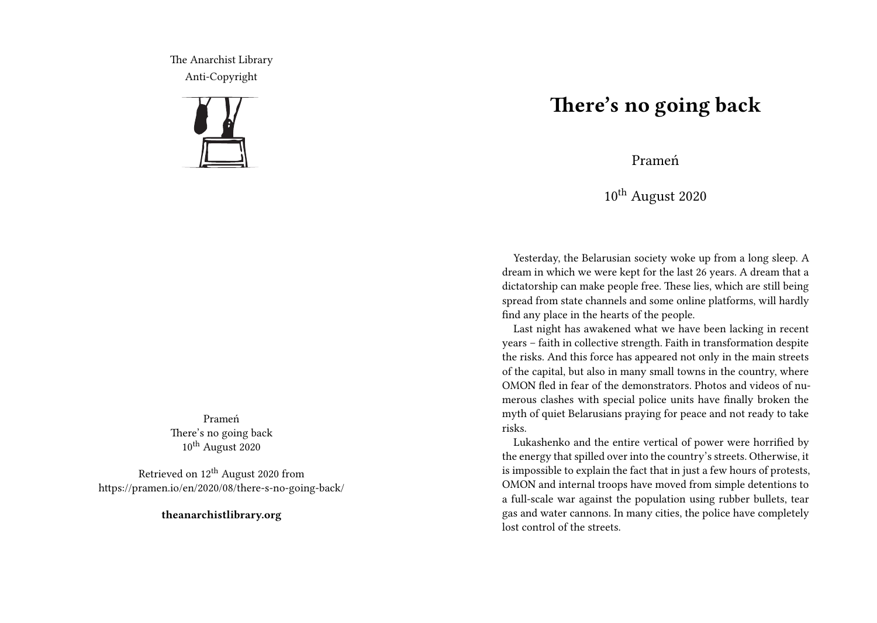The Anarchist Library Anti-Copyright



Prameń There's no going back 10<sup>th</sup> August 2020

Retrieved on  $12<sup>th</sup>$  August 2020 from https://pramen.io/en/2020/08/there-s-no-going-back/

**theanarchistlibrary.org**

## **There's no going back**

Prameń

10th August 2020

Yesterday, the Belarusian society woke up from a long sleep. A dream in which we were kept for the last 26 years. A dream that a dictatorship can make people free. These lies, which are still being spread from state channels and some online platforms, will hardly find any place in the hearts of the people.

Last night has awakened what we have been lacking in recent years – faith in collective strength. Faith in transformation despite the risks. And this force has appeared not only in the main streets of the capital, but also in many small towns in the country, where OMON fled in fear of the demonstrators. Photos and videos of numerous clashes with special police units have finally broken the myth of quiet Belarusians praying for peace and not ready to take risks.

Lukashenko and the entire vertical of power were horrified by the energy that spilled over into the country's streets. Otherwise, it is impossible to explain the fact that in just a few hours of protests, OMON and internal troops have moved from simple detentions to a full-scale war against the population using rubber bullets, tear gas and water cannons. In many cities, the police have completely lost control of the streets.